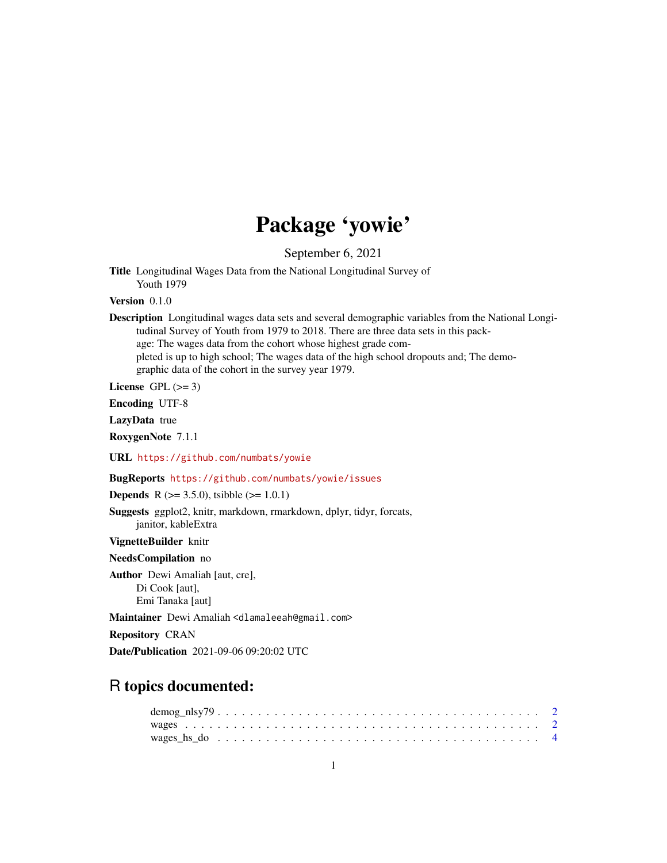# Package 'yowie'

September 6, 2021

Title Longitudinal Wages Data from the National Longitudinal Survey of Youth 1979

Version 0.1.0

| <b>Description</b> Longitudinal wages data sets and several demographic variables from the National Longi- |
|------------------------------------------------------------------------------------------------------------|
| tudinal Survey of Youth from 1979 to 2018. There are three data sets in this pack-                         |
| age: The wages data from the cohort whose highest grade com-                                               |
| pleted is up to high school; The wages data of the high school dropouts and; The demo-                     |
| graphic data of the cohort in the survey year 1979.                                                        |

License GPL  $(>= 3)$ 

Encoding UTF-8

LazyData true

RoxygenNote 7.1.1

URL <https://github.com/numbats/yowie>

BugReports <https://github.com/numbats/yowie/issues>

**Depends** R ( $>= 3.5.0$ ), tsibble ( $>= 1.0.1$ )

Suggests ggplot2, knitr, markdown, rmarkdown, dplyr, tidyr, forcats, janitor, kableExtra

VignetteBuilder knitr

NeedsCompilation no

Author Dewi Amaliah [aut, cre], Di Cook [aut], Emi Tanaka [aut]

Maintainer Dewi Amaliah <dlamaleeah@gmail.com>

Repository CRAN

Date/Publication 2021-09-06 09:20:02 UTC

## R topics documented: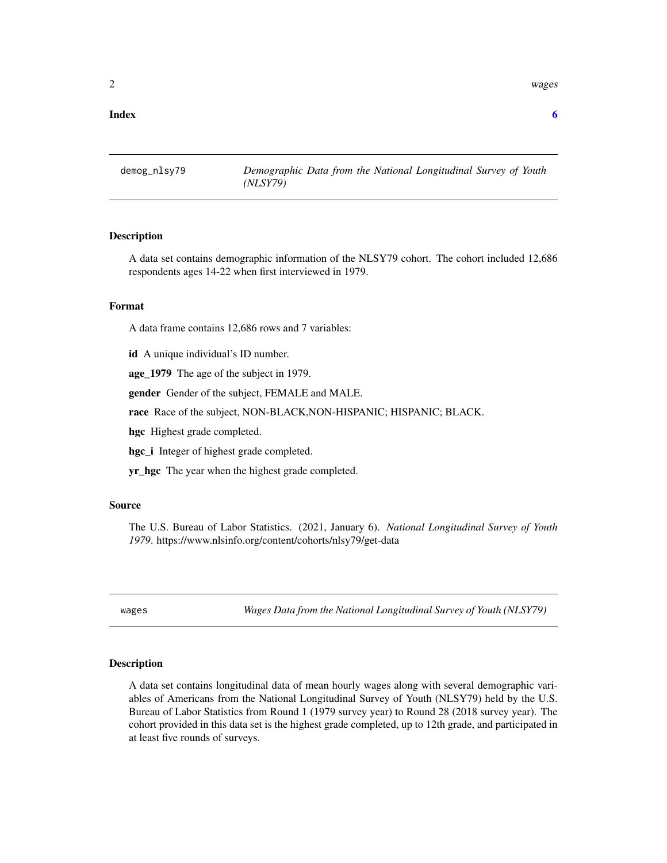<span id="page-1-0"></span>2 wages and the contract of the contract of the contract of the contract of the contract of the contract of the contract of the contract of the contract of the contract of the contract of the contract of the contract of th

#### **Index** [6](#page-5-0) **6**

demog\_nlsy79 *Demographic Data from the National Longitudinal Survey of Youth (NLSY79)*

#### Description

A data set contains demographic information of the NLSY79 cohort. The cohort included 12,686 respondents ages 14-22 when first interviewed in 1979.

#### Format

A data frame contains 12,686 rows and 7 variables:

id A unique individual's ID number.

age\_1979 The age of the subject in 1979.

gender Gender of the subject, FEMALE and MALE.

race Race of the subject, NON-BLACK,NON-HISPANIC; HISPANIC; BLACK.

hgc Highest grade completed.

hgc\_i Integer of highest grade completed.

yr\_hgc The year when the highest grade completed.

#### Source

The U.S. Bureau of Labor Statistics. (2021, January 6). *National Longitudinal Survey of Youth 1979*. https://www.nlsinfo.org/content/cohorts/nlsy79/get-data

wages *Wages Data from the National Longitudinal Survey of Youth (NLSY79)*

#### Description

A data set contains longitudinal data of mean hourly wages along with several demographic variables of Americans from the National Longitudinal Survey of Youth (NLSY79) held by the U.S. Bureau of Labor Statistics from Round 1 (1979 survey year) to Round 28 (2018 survey year). The cohort provided in this data set is the highest grade completed, up to 12th grade, and participated in at least five rounds of surveys.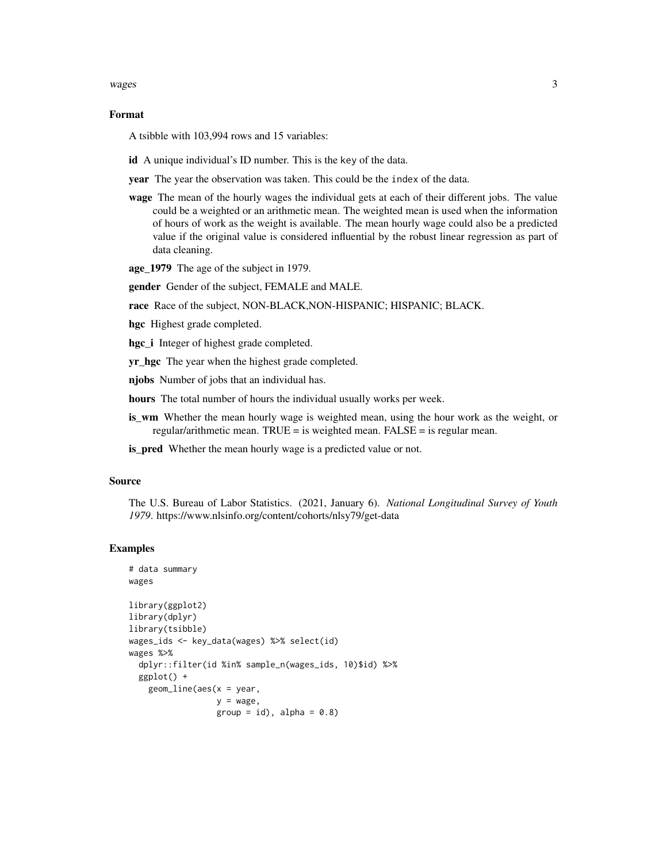#### $wages$  3

#### Format

A tsibble with 103,994 rows and 15 variables:

id A unique individual's ID number. This is the key of the data.

year The year the observation was taken. This could be the index of the data.

wage The mean of the hourly wages the individual gets at each of their different jobs. The value could be a weighted or an arithmetic mean. The weighted mean is used when the information of hours of work as the weight is available. The mean hourly wage could also be a predicted value if the original value is considered influential by the robust linear regression as part of data cleaning.

age\_1979 The age of the subject in 1979.

gender Gender of the subject, FEMALE and MALE.

race Race of the subject, NON-BLACK,NON-HISPANIC; HISPANIC; BLACK.

hgc Highest grade completed.

hgc\_i Integer of highest grade completed.

yr\_hgc The year when the highest grade completed.

njobs Number of jobs that an individual has.

hours The total number of hours the individual usually works per week.

is\_wm Whether the mean hourly wage is weighted mean, using the hour work as the weight, or regular/arithmetic mean. TRUE = is weighted mean. FALSE = is regular mean.

is\_pred Whether the mean hourly wage is a predicted value or not.

#### Source

The U.S. Bureau of Labor Statistics. (2021, January 6). *National Longitudinal Survey of Youth 1979*. https://www.nlsinfo.org/content/cohorts/nlsy79/get-data

#### Examples

```
# data summary
wages
library(ggplot2)
library(dplyr)
library(tsibble)
wages_ids <- key_data(wages) %>% select(id)
wages %>%
 dplyr::filter(id %in% sample_n(wages_ids, 10)$id) %>%
 ggplot() +
   geom_line(aes(x = year,
                  y = wage,group = id), alpha = 0.8)
```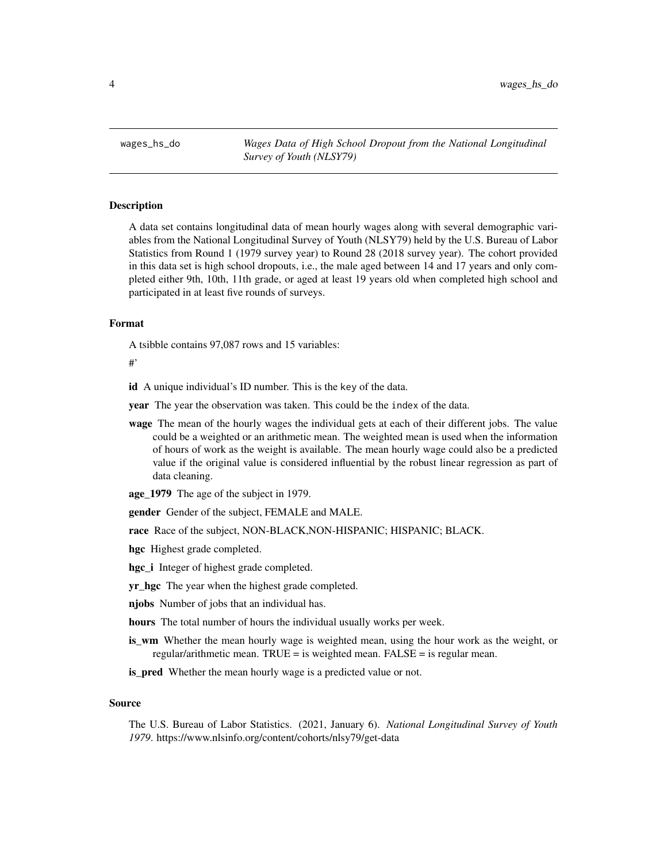<span id="page-3-0"></span>wages\_hs\_do *Wages Data of High School Dropout from the National Longitudinal Survey of Youth (NLSY79)*

#### Description

A data set contains longitudinal data of mean hourly wages along with several demographic variables from the National Longitudinal Survey of Youth (NLSY79) held by the U.S. Bureau of Labor Statistics from Round 1 (1979 survey year) to Round 28 (2018 survey year). The cohort provided in this data set is high school dropouts, i.e., the male aged between 14 and 17 years and only completed either 9th, 10th, 11th grade, or aged at least 19 years old when completed high school and participated in at least five rounds of surveys.

#### Format

A tsibble contains 97,087 rows and 15 variables:

#'

id A unique individual's ID number. This is the key of the data.

year The year the observation was taken. This could be the index of the data.

wage The mean of the hourly wages the individual gets at each of their different jobs. The value could be a weighted or an arithmetic mean. The weighted mean is used when the information of hours of work as the weight is available. The mean hourly wage could also be a predicted value if the original value is considered influential by the robust linear regression as part of data cleaning.

age\_1979 The age of the subject in 1979.

gender Gender of the subject, FEMALE and MALE.

race Race of the subject, NON-BLACK,NON-HISPANIC; HISPANIC; BLACK.

hgc Highest grade completed.

hgc\_i Integer of highest grade completed.

**yr\_hgc** The year when the highest grade completed.

njobs Number of jobs that an individual has.

hours The total number of hours the individual usually works per week.

is\_wm Whether the mean hourly wage is weighted mean, using the hour work as the weight, or regular/arithmetic mean. TRUE = is weighted mean. FALSE = is regular mean.

**is\_pred** Whether the mean hourly wage is a predicted value or not.

#### Source

The U.S. Bureau of Labor Statistics. (2021, January 6). *National Longitudinal Survey of Youth 1979*. https://www.nlsinfo.org/content/cohorts/nlsy79/get-data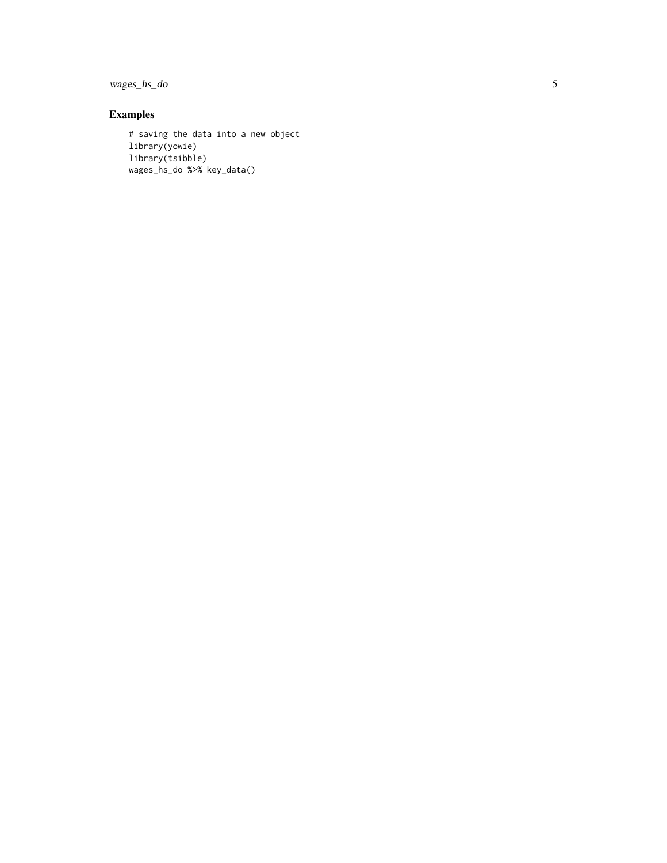wages\_hs\_do

### Examples

```
# saving the data into a new object
library(yowie)
library(tsibble)
wages_hs_do %>% key_data()
```